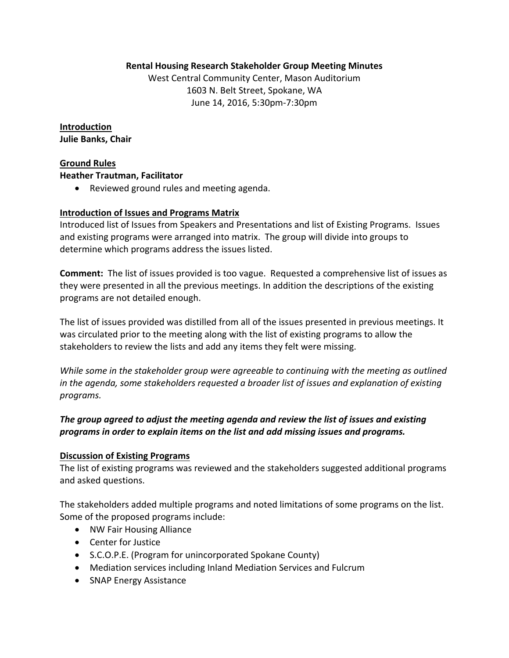## **Rental Housing Research Stakeholder Group Meeting Minutes**

West Central Community Center, Mason Auditorium 1603 N. Belt Street, Spokane, WA June 14, 2016, 5:30pm‐7:30pm

**Introduction Julie Banks, Chair**

## **Ground Rules**

### **Heather Trautman, Facilitator**

Reviewed ground rules and meeting agenda.

## **Introduction of Issues and Programs Matrix**

Introduced list of Issues from Speakers and Presentations and list of Existing Programs. Issues and existing programs were arranged into matrix. The group will divide into groups to determine which programs address the issues listed.

**Comment:** The list of issues provided is too vague. Requested a comprehensive list of issues as they were presented in all the previous meetings. In addition the descriptions of the existing programs are not detailed enough.

The list of issues provided was distilled from all of the issues presented in previous meetings. It was circulated prior to the meeting along with the list of existing programs to allow the stakeholders to review the lists and add any items they felt were missing.

*While some in the stakeholder group were agreeable to continuing with the meeting as outlined in the agenda, some stakeholders requested a broader list of issues and explanation of existing programs.* 

# *The group agreed to adjust the meeting agenda and review the list of issues and existing programs in order to explain items on the list and add missing issues and programs.*

### **Discussion of Existing Programs**

The list of existing programs was reviewed and the stakeholders suggested additional programs and asked questions.

The stakeholders added multiple programs and noted limitations of some programs on the list. Some of the proposed programs include:

- NW Fair Housing Alliance
- Center for Justice
- S.C.O.P.E. (Program for unincorporated Spokane County)
- Mediation services including Inland Mediation Services and Fulcrum
- SNAP Energy Assistance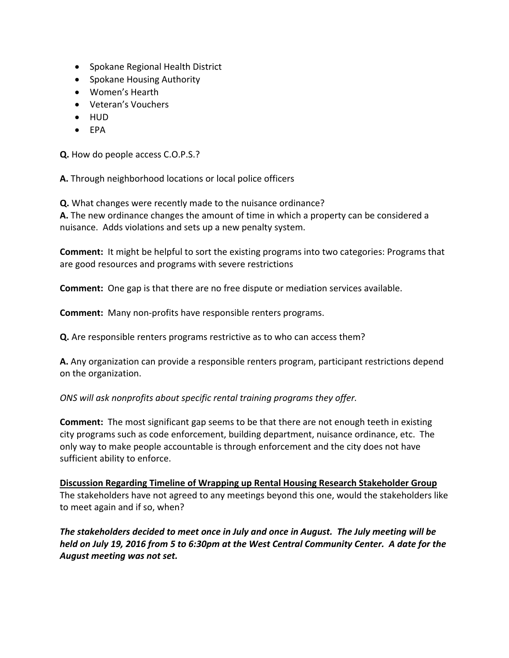- Spokane Regional Health District
- Spokane Housing Authority
- Women's Hearth
- Veteran's Vouchers
- HUD
- $\bullet$  FPA

**Q.** How do people access C.O.P.S.?

**A.** Through neighborhood locations or local police officers

**Q.** What changes were recently made to the nuisance ordinance?

**A.** The new ordinance changes the amount of time in which a property can be considered a nuisance. Adds violations and sets up a new penalty system.

**Comment:** It might be helpful to sort the existing programs into two categories: Programs that are good resources and programs with severe restrictions

**Comment:** One gap is that there are no free dispute or mediation services available.

**Comment:** Many non‐profits have responsible renters programs.

**Q.** Are responsible renters programs restrictive as to who can access them?

**A.** Any organization can provide a responsible renters program, participant restrictions depend on the organization.

# *ONS will ask nonprofits about specific rental training programs they offer.*

**Comment:** The most significant gap seems to be that there are not enough teeth in existing city programs such as code enforcement, building department, nuisance ordinance, etc. The only way to make people accountable is through enforcement and the city does not have sufficient ability to enforce.

**Discussion Regarding Timeline of Wrapping up Rental Housing Research Stakeholder Group** The stakeholders have not agreed to any meetings beyond this one, would the stakeholders like to meet again and if so, when?

*The stakeholders decided to meet once in July and once in August. The July meeting will be* held on July 19, 2016 from 5 to 6:30pm at the West Central Community Center. A date for the *August meeting was not set.*